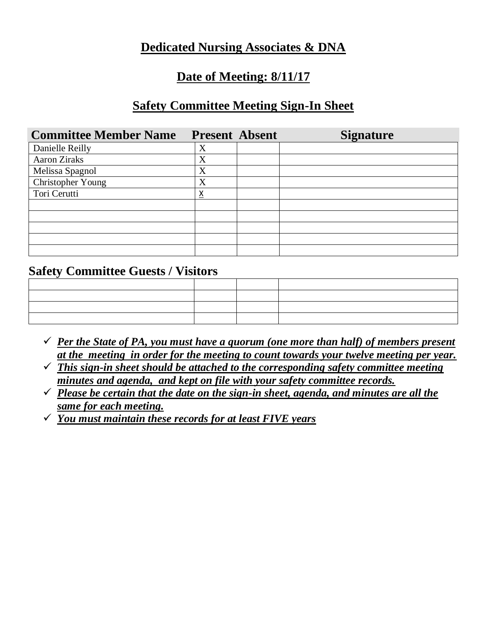## **Dedicated Nursing Associates & DNA**

## **Date of Meeting: 8/11/17**

### **Safety Committee Meeting Sign-In Sheet**

| <b>Committee Member Name</b> | <b>Present Absent</b> | <b>Signature</b> |
|------------------------------|-----------------------|------------------|
| Danielle Reilly              | X                     |                  |
| <b>Aaron Ziraks</b>          | X                     |                  |
| Melissa Spagnol              | X                     |                  |
| Christopher Young            | X                     |                  |
| Tori Cerutti                 | х                     |                  |
|                              |                       |                  |
|                              |                       |                  |
|                              |                       |                  |
|                              |                       |                  |
|                              |                       |                  |

### **Safety Committee Guests / Visitors**

| ,我们也不会有什么。""我们的人,我们也不会有什么?""我们的人,我们也不会有什么?""我们的人,我们也不会有什么?""我们的人,我们也不会有什么?""我们的人 |  |  |
|----------------------------------------------------------------------------------|--|--|
|                                                                                  |  |  |
|                                                                                  |  |  |
|                                                                                  |  |  |

- $\checkmark$  *Per the State of PA, you must have a quorum (one more than half) of members present at the meeting in order for the meeting to count towards your twelve meeting per year.*
- ✓ *This sign-in sheet should be attached to the corresponding safety committee meeting minutes and agenda, and kept on file with your safety committee records.*
- $\checkmark$  *Please be certain that the date on the sign-in sheet, agenda, and minutes are all the same for each meeting.*
- ✓ *You must maintain these records for at least FIVE years*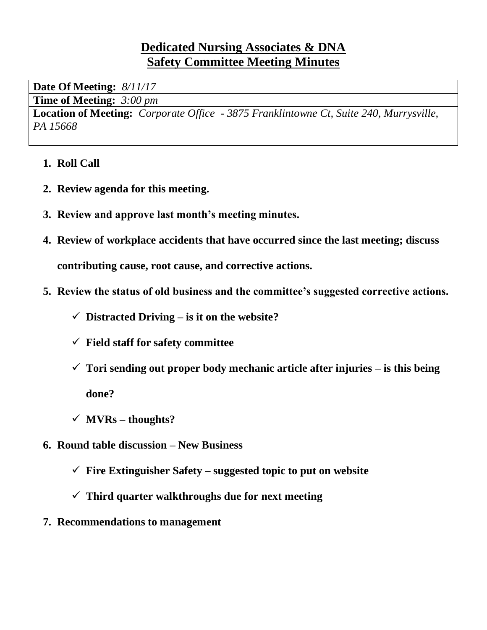## **Dedicated Nursing Associates & DNA Safety Committee Meeting Minutes**

**Date Of Meeting:** *8/11/17*

**Time of Meeting:** *3:00 pm*

**Location of Meeting:** *Corporate Office - 3875 Franklintowne Ct, Suite 240, Murrysville, PA 15668*

- **1. Roll Call**
- **2. Review agenda for this meeting.**
- **3. Review and approve last month's meeting minutes.**
- **4. Review of workplace accidents that have occurred since the last meeting; discuss contributing cause, root cause, and corrective actions.**
- **5. Review the status of old business and the committee's suggested corrective actions.**
	- $\checkmark$  Distracted Driving is it on the website?
	- ✓ **Field staff for safety committee**
	- ✓ **Tori sending out proper body mechanic article after injuries – is this being done?**
	- ✓ **MVRs – thoughts?**
- **6. Round table discussion – New Business**
	- $\checkmark$  **Fire Extinguisher Safety suggested topic to put on website**
	- ✓ **Third quarter walkthroughs due for next meeting**
- **7. Recommendations to management**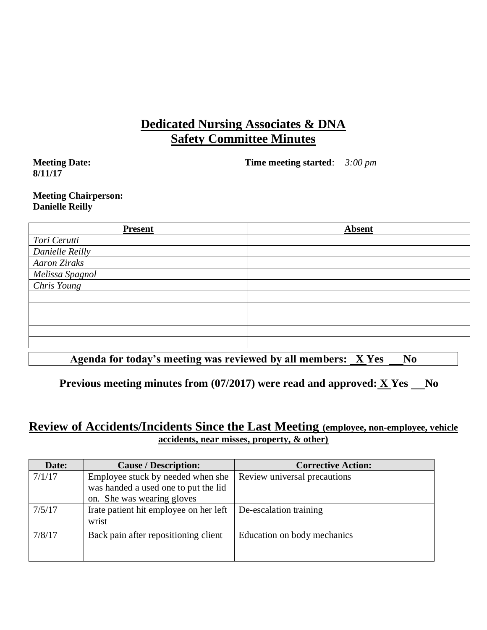## **Dedicated Nursing Associates & DNA Safety Committee Minutes**

**Meeting Date: 8/11/17**

**Time meeting started**: *3:00 pm*

#### **Meeting Chairperson: Danielle Reilly**

| <b>Present</b>           | <b>Absent</b> |
|--------------------------|---------------|
| Tori Cerutti             |               |
| Danielle Reilly          |               |
| <b>Aaron Ziraks</b>      |               |
| Melissa Spagnol          |               |
| $\overline{Chris}$ Young |               |
|                          |               |
|                          |               |
|                          |               |
|                          |               |
|                          |               |
|                          |               |

Agenda for today's meeting was reviewed by all members:  $XY$ es  $N_0$ 

**Previous meeting minutes from**  $(07/2017)$  **were read and approved:**  $X$  **Yes**  $\_\_\_\$  **No** 

### **Review of Accidents/Incidents Since the Last Meeting (employee, non-employee, vehicle accidents, near misses, property, & other)**

| Date:  | <b>Cause / Description:</b>                                                                             | <b>Corrective Action:</b>    |
|--------|---------------------------------------------------------------------------------------------------------|------------------------------|
| 7/1/17 | Employee stuck by needed when she<br>was handed a used one to put the lid<br>on. She was wearing gloves | Review universal precautions |
| 7/5/17 | Irate patient hit employee on her left<br>wrist                                                         | De-escalation training       |
| 7/8/17 | Back pain after repositioning client                                                                    | Education on body mechanics  |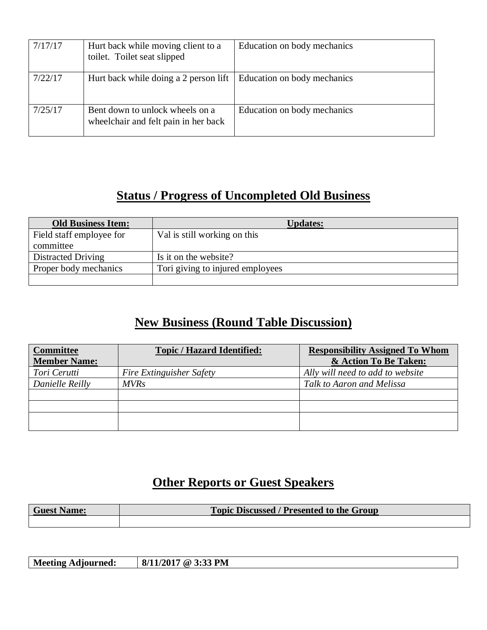| 7/17/17 | Hurt back while moving client to a<br>toilet. Toilet seat slipped       | Education on body mechanics |
|---------|-------------------------------------------------------------------------|-----------------------------|
| 7/22/17 | Hurt back while doing a 2 person lift                                   | Education on body mechanics |
| 7/25/17 | Bent down to unlock wheels on a<br>wheelchair and felt pain in her back | Education on body mechanics |

# **Status / Progress of Uncompleted Old Business**

| <b>Old Business Item:</b> | <b>Updates:</b>                  |
|---------------------------|----------------------------------|
| Field staff employee for  | Val is still working on this     |
| committee                 |                                  |
| Distracted Driving        | Is it on the website?            |
| Proper body mechanics     | Tori giving to injured employees |
|                           |                                  |

# **New Business (Round Table Discussion)**

| <b>Committee</b><br><b>Member Name:</b> | <b>Topic / Hazard Identified:</b> | <b>Responsibility Assigned To Whom</b><br>& Action To Be Taken: |
|-----------------------------------------|-----------------------------------|-----------------------------------------------------------------|
| Tori Cerutti                            | Fire Extinguisher Safety          | Ally will need to add to website                                |
| Danielle Reilly                         | <b>MVRs</b>                       | Talk to Aaron and Melissa                                       |
|                                         |                                   |                                                                 |
|                                         |                                   |                                                                 |
|                                         |                                   |                                                                 |

# **Other Reports or Guest Speakers**

| <b>Guest Name:</b> | <b>Topic Discussed / Presented to the Group</b> |
|--------------------|-------------------------------------------------|
|                    |                                                 |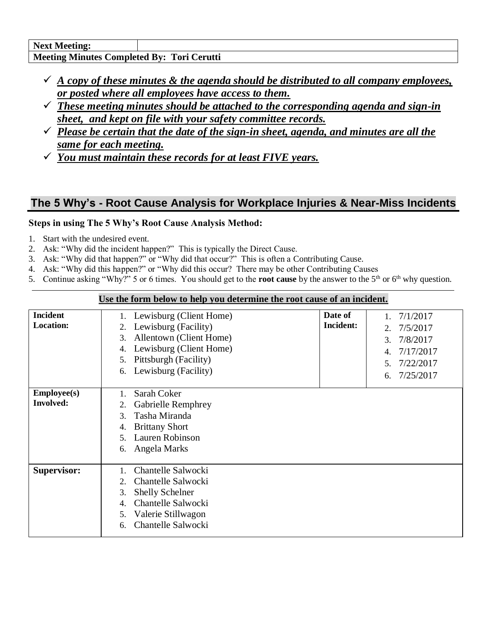- $\checkmark$  *A copy of these minutes & the agenda should be distributed to all company employees, or posted where all employees have access to them.*
- ✓ *These meeting minutes should be attached to the corresponding agenda and sign-in sheet, and kept on file with your safety committee records.*
- ✓ *Please be certain that the date of the sign-in sheet, agenda, and minutes are all the same for each meeting.*
- ✓ *You must maintain these records for at least FIVE years.*

## **The 5 Why's - Root Cause Analysis for Workplace Injuries & Near-Miss Incidents**

### **Steps in using The 5 Why's Root Cause Analysis Method:**

- 1. Start with the undesired event.
- 2. Ask: "Why did the incident happen?" This is typically the Direct Cause.
- 3. Ask: "Why did that happen?" or "Why did that occur?" This is often a Contributing Cause.
- 4. Ask: "Why did this happen?" or "Why did this occur? There may be other Contributing Causes
- 5. Continue asking "Why?" 5 or 6 times. You should get to the **root cause** by the answer to the  $5<sup>th</sup>$  or  $6<sup>th</sup>$  why question.

|                    | Ose the form below to help you actermine the foot cause of an incluent. |                  |                               |
|--------------------|-------------------------------------------------------------------------|------------------|-------------------------------|
| <b>Incident</b>    | Lewisburg (Client Home)                                                 | Date of          | 7/1/2017                      |
| <b>Location:</b>   | Lewisburg (Facility)<br>2.                                              | <b>Incident:</b> | 7/5/2017<br>2.                |
|                    | Allentown (Client Home)<br>3.                                           |                  | 7/8/2017<br>3.                |
|                    | Lewisburg (Client Home)<br>4.                                           |                  | 7/17/2017<br>$\overline{4}$ . |
|                    | Pittsburgh (Facility)<br>5.                                             |                  |                               |
|                    | Lewisburg (Facility)<br>6.                                              |                  | 7/22/2017<br>5.               |
|                    |                                                                         |                  | 7/25/2017<br>6.               |
| <b>Employee(s)</b> | Sarah Coker                                                             |                  |                               |
| <b>Involved:</b>   |                                                                         |                  |                               |
|                    | <b>Gabrielle Remphrey</b><br>2.                                         |                  |                               |
|                    | Tasha Miranda<br>3.                                                     |                  |                               |
|                    | <b>Brittany Short</b><br>4.                                             |                  |                               |
|                    | Lauren Robinson<br>5.                                                   |                  |                               |
|                    | Angela Marks<br>6.                                                      |                  |                               |
|                    |                                                                         |                  |                               |
| <b>Supervisor:</b> | Chantelle Salwocki                                                      |                  |                               |
|                    | Chantelle Salwocki<br>$\overline{2}$ .                                  |                  |                               |
|                    | <b>Shelly Schelner</b><br>3.                                            |                  |                               |
|                    | Chantelle Salwocki<br>4.                                                |                  |                               |
|                    | Valerie Stillwagon<br>5.                                                |                  |                               |
|                    | Chantelle Salwocki<br>6.                                                |                  |                               |
|                    |                                                                         |                  |                               |

#### **Use the form below to help you determine the root cause of an incident.**